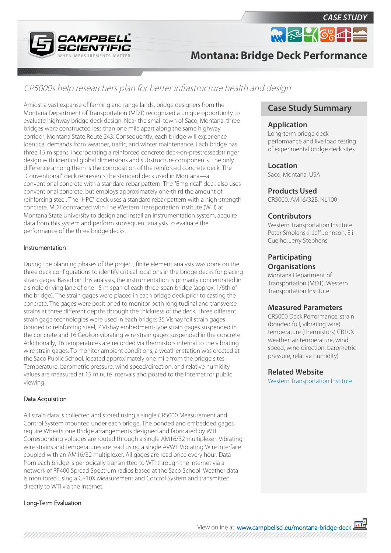

# **Montana: Bridge Deck Performance**

## CR5000s help researchers plan for better infrastructure health and design

Amidst a vast expanse of farming and range lands, bridge designers from the Montana Department of Transportation (MDT) recognized a unique opportunity to evaluate highway bridge deck design. Near the small town of Saco, Montana, three bridges were constructed less than one mile apart along the same highway corridor, Montana State Route 243. Consequently, each bridge will experience identical demands from weather, traffic, and winter maintenance. Each bridge has three 15 m spans, incorporating a reinforced concrete deck-on-prestressedstringer design with identical global dimensions and substructure components. The only difference among them is the composition of the reinforced concrete deck. The "Conventional" deck represents the standard deck used in Montana—a conventional concrete with a standard rebar pattern. The "Empirical" deck also uses conventional concrete, but employs approximately one-third the amount of reinforcing steel. The "HPC" deck uses a standard rebar pattern with a high-strength concrete. MDT contracted with The Western Transportation Institute (WTI) at Montana State University to design and install an instrumentation system, acquire data from this system and perform subsequent analysis to evaluate the performance of the three bridge decks.

#### Instrumentation

During the planning phases of the project, finite element analysis was done on the three deck configurations to identify critical locations in the bridge decks for placing strain gages. Based on this analysis, the instrumentation is primarily concentrated in a single driving lane of one 15 m span of each three-span bridge (approx. 1/6th of the bridge). The strain gages were placed in each bridge deck prior to casting the concrete. The gages were positioned to monitor both longitudinal and transverse strains at three different depths through the thickness of the deck. Three different strain gage technologies were used in each bridge: 35 Vishay foil strain gages bonded to reinforcing steel, 7 Vishay embedment-type strain gages suspended in the concrete and 16 Geokon vibrating wire strain gages suspended in the concrete. Additionally, 16 temperatures are recorded via thermistors internal to the vibrating wire strain gages. To monitor ambient conditions, a weather station was erected at the Saco Public School, located approximately one mile from the bridge sites. Temperature, barometric pressure, wind speed/direction, and relative humidity values are measured at 15 minute intervals and posted to the Internet for public viewing.

#### Data Acquisition

All strain data is collected and stored using a single CR5000 Measurement and Control System mounted under each bridge. The bonded and embedded gages require Wheatstone Bridge arrangements designed and fabricated by WTI. Corresponding voltages are routed through a single AM16/32 multiplexer. Vibrating wire strains and temperatures are read using a single AVW1 Vibrating Wire Interface coupled with an AM16/32 multiplexer. All gages are read once every hour. Data from each bridge is periodically transmitted to WTI through the Internet via a network of RF400 Spread Spectrum radios based at the Saco School. Weather data is monitored using a CR10X Measurement and Control System and transmitted directly to WTI via the Internet.

#### Long-Term Evaluation

## **Case Study Summary**

 $m \approx 46\%$ 

*CASE STUDY*

#### **Application**

Long-term bridge deck performance and live load testing of experimental bridge deck sites

#### **Location**

Saco, Montana, USA

#### **Products Used**

CR5000, AM16/32B, NL100

#### **Contributors**

Western Transportation Institute: Peter Smolenski, Jeff Johnson, Eli Cuelho, Jerry Stephens

## **Participating Organisations**

Montana Department of Transportation (MDT), Western Transportation Institute

#### **Measured Parameters**

CR5000 Deck Performance: strain (bonded foil, vibrating wire) temperature (thermistors) CR10X weather: air temperature, wind speed, wind direction, barometric pressure, relative humidity)

#### **Related Website**

[Western Transportation Institute](http://www.wti.montana.edu/)